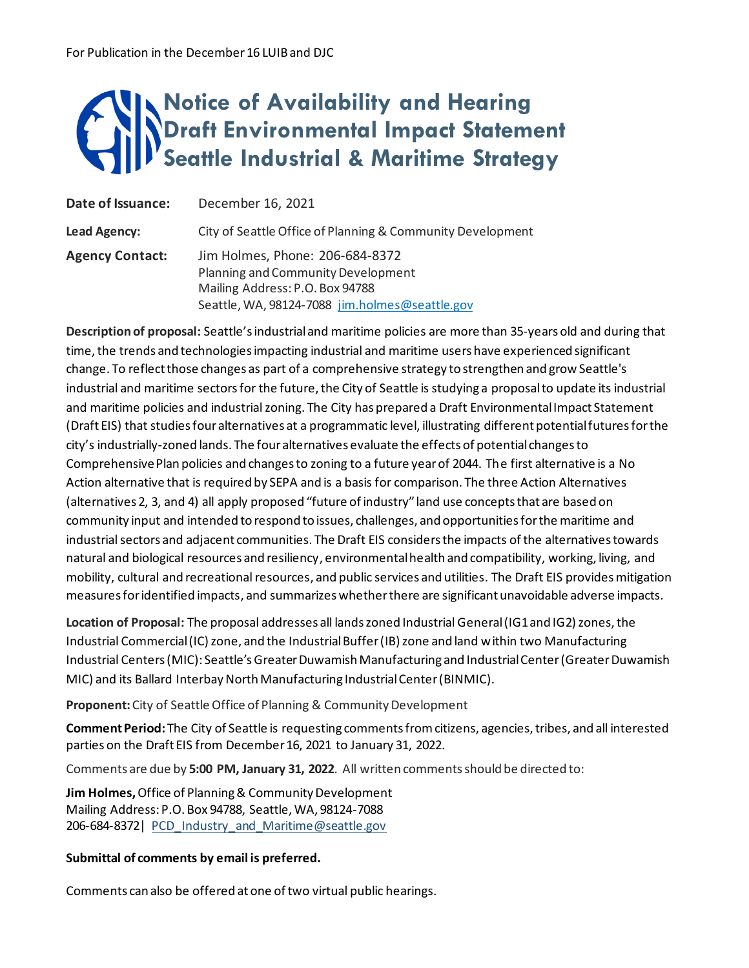## **Notice of Availability and Hearing Draft Environmental Impact Statement Seattle Industrial & Maritime Strategy**

| Date of Issuance:      | December 16, 2021                                                                                                                                          |
|------------------------|------------------------------------------------------------------------------------------------------------------------------------------------------------|
| Lead Agency:           | City of Seattle Office of Planning & Community Development                                                                                                 |
| <b>Agency Contact:</b> | Jim Holmes, Phone: 206-684-8372<br>Planning and Community Development<br>Mailing Address: P.O. Box 94788<br>Seattle, WA, 98124-7088 jim.holmes@seattle.gov |

**Description of proposal:** Seattle's industrial and maritime policies are more than 35-years old and during that time, the trends and technologies impacting industrial and maritime users have experienced significant change. To reflect those changes as part of a comprehensive strategy to strengthen and grow Seattle's industrial and maritime sectors for the future, the City of Seattle is studying a proposal to update its industrial and maritime policies and industrial zoning. The City has prepared a Draft Environmental Impact Statement (Draft EIS) that studies four alternatives at a programmatic level, illustrating different potential futures for the city's industrially-zoned lands. The four alternatives evaluate the effects of potential changes to Comprehensive Plan policies and changes to zoning to a future year of 2044. The first alternative is a No Action alternative that is required by SEPA and is a basis for comparison. The three Action Alternatives (alternatives 2, 3, and 4) all apply proposed "future of industry" land use concepts that are based on community input and intended to respond to issues, challenges, and opportunities for the maritime and industrial sectors and adjacent communities. The Draft EIS considers the impacts of the alternatives towards natural and biological resources and resiliency, environmental health and compatibility, working, living, and mobility, cultural and recreational resources, and public services and utilities. The Draft EIS provides mitigation measures for identified impacts, and summarizes whether there are significant unavoidable adverse impacts.

**Location of Proposal:** The proposal addresses all lands zoned Industrial General (IG1 and IG2) zones, the Industrial Commercial (IC) zone, and the Industrial Buffer (IB) zone and land within two Manufacturing Industrial Centers (MIC): Seattle's Greater Duwamish Manufacturing and Industrial Center (Greater Duwamish MIC) and its Ballard Interbay North Manufacturing Industrial Center (BINMIC).

**Proponent:** City of Seattle Office of Planning & Community Development

**Comment Period:** The City of Seattle is requesting comments from citizens, agencies, tribes, and all interested parties on the Draft EIS from December 16, 2021 to January 31, 2022.

Comments are due by **5:00 PM, January 31, 2022**. All written comments should be directed to:

**Jim Holmes,** Office of Planning & Community Development Mailing Address: P.O. Box 94788, Seattle, WA, 98124-7088 206-684-8372| [PCD\\_Industry\\_and\\_Maritime@seattle.gov](mailto:PCD_Industry_and_Maritime@seattle.gov)

## **Submittal of comments by email is preferred.**

Comments can also be offered at one of two virtual public hearings.